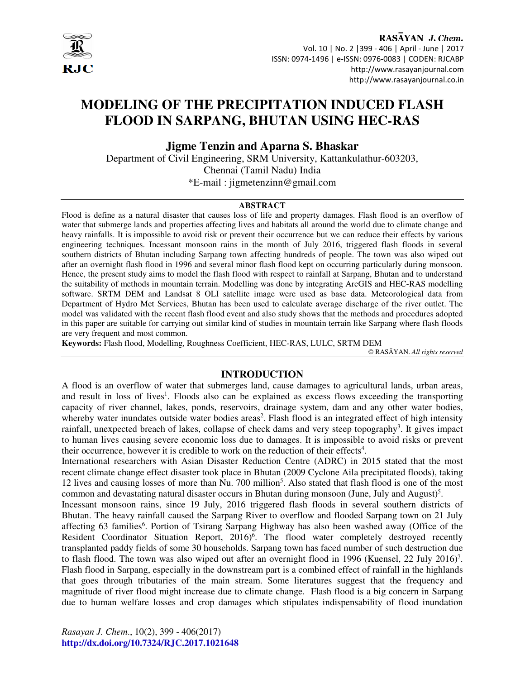

RASAYAN J. Chem. Vol. 10 | No. 2 |399 - 406 | April - June | 2017 ISSN: 0974-1496 | e-ISSN: 0976-0083 | CODEN: RJCABP http://www.rasayanjournal.com http://www.rasayanjournal.co.in

# **MODELING OF THE PRECIPITATION INDUCED FLASH FLOOD IN SARPANG, BHUTAN USING HEC-RAS**

**Jigme Tenzin and Aparna S. Bhaskar**

Department of Civil Engineering, SRM University, Kattankulathur-603203, Chennai (Tamil Nadu) India \*E-mail : jigmetenzinn@gmail.com

#### **ABSTRACT**

Flood is define as a natural disaster that causes loss of life and property damages. Flash flood is an overflow of water that submerge lands and properties affecting lives and habitats all around the world due to climate change and heavy rainfalls. It is impossible to avoid risk or prevent their occurrence but we can reduce their effects by various engineering techniques. Incessant monsoon rains in the month of July 2016, triggered flash floods in several southern districts of Bhutan including Sarpang town affecting hundreds of people. The town was also wiped out after an overnight flash flood in 1996 and several minor flash flood kept on occurring particularly during monsoon. Hence, the present study aims to model the flash flood with respect to rainfall at Sarpang, Bhutan and to understand the suitability of methods in mountain terrain. Modelling was done by integrating ArcGIS and HEC-RAS modelling software. SRTM DEM and Landsat 8 OLI satellite image were used as base data. Meteorological data from Department of Hydro Met Services, Bhutan has been used to calculate average discharge of the river outlet. The model was validated with the recent flash flood event and also study shows that the methods and procedures adopted in this paper are suitable for carrying out similar kind of studies in mountain terrain like Sarpang where flash floods are very frequent and most common.

**Keywords:** Flash flood, Modelling, Roughness Coefficient, HEC-RAS, LULC, SRTM DEM

© RASĀYAN. *All rights reserved*

#### **INTRODUCTION**

A flood is an overflow of water that submerges land, cause damages to agricultural lands, urban areas, and result in loss of lives<sup>1</sup>. Floods also can be explained as excess flows exceeding the transporting capacity of river channel, lakes, ponds, reservoirs, drainage system, dam and any other water bodies, whereby water inundates outside water bodies areas<sup>2</sup>. Flash flood is an integrated effect of high intensity rainfall, unexpected breach of lakes, collapse of check dams and very steep topography<sup>3</sup>. It gives impact to human lives causing severe economic loss due to damages. It is impossible to avoid risks or prevent their occurrence, however it is credible to work on the reduction of their effects<sup>4</sup>.

International researchers with Asian Disaster Reduction Centre (ADRC) in 2015 stated that the most recent climate change effect disaster took place in Bhutan (2009 Cyclone Aila precipitated floods), taking 12 lives and causing losses of more than Nu. 700 million<sup>5</sup>. Also stated that flash flood is one of the most common and devastating natural disaster occurs in Bhutan during monsoon (June, July and August)<sup>5</sup>.

Incessant monsoon rains, since 19 July, 2016 triggered flash floods in several southern districts of Bhutan. The heavy rainfall caused the Sarpang River to overflow and flooded Sarpang town on 21 July affecting 63 families<sup>6</sup>. Portion of Tsirang Sarpang Highway has also been washed away (Office of the Resident Coordinator Situation Report, 2016)<sup>6</sup>. The flood water completely destroyed recently transplanted paddy fields of some 30 households. Sarpang town has faced number of such destruction due to flash flood. The town was also wiped out after an overnight flood in 1996 (Kuensel, 22 July 2016)<sup>7</sup>. Flash flood in Sarpang, especially in the downstream part is a combined effect of rainfall in the highlands that goes through tributaries of the main stream. Some literatures suggest that the frequency and magnitude of river flood might increase due to climate change. Flash flood is a big concern in Sarpang due to human welfare losses and crop damages which stipulates indispensability of flood inundation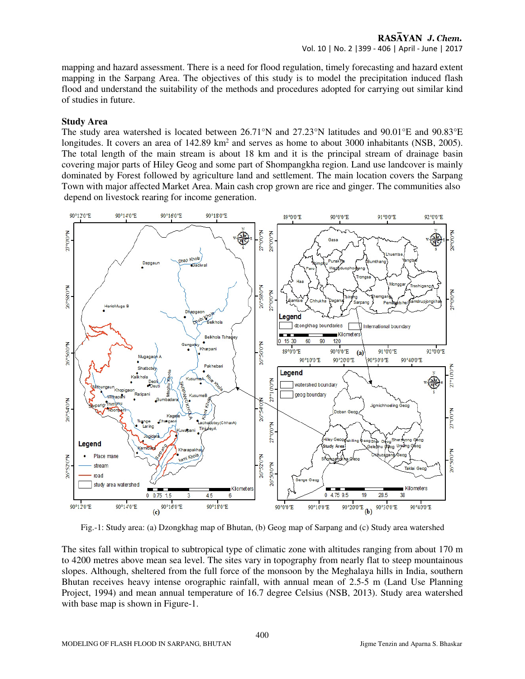mapping and hazard assessment. There is a need for flood regulation, timely forecasting and hazard extent mapping in the Sarpang Area. The objectives of this study is to model the precipitation induced flash flood and understand the suitability of the methods and procedures adopted for carrying out similar kind of studies in future.

#### **Study Area**

The study area watershed is located between 26.71°N and 27.23°N latitudes and 90.01°E and 90.83°E longitudes. It covers an area of  $142.89 \text{ km}^2$  and serves as home to about 3000 inhabitants (NSB, 2005). The total length of the main stream is about 18 km and it is the principal stream of drainage basin covering major parts of Hiley Geog and some part of Shompangkha region. Land use landcover is mainly dominated by Forest followed by agriculture land and settlement. The main location covers the Sarpang Town with major affected Market Area. Main cash crop grown are rice and ginger. The communities also depend on livestock rearing for income generation.



Fig.-1: Study area: (a) Dzongkhag map of Bhutan, (b) Geog map of Sarpang and (c) Study area watershed

The sites fall within tropical to subtropical type of climatic zone with altitudes ranging from about 170 m to 4200 metres above mean sea level. The sites vary in topography from nearly flat to steep mountainous slopes. Although, sheltered from the full force of the monsoon by the Meghalaya hills in India, southern Bhutan receives heavy intense orographic rainfall, with annual mean of 2.5-5 m (Land Use Planning Project, 1994) and mean annual temperature of 16.7 degree Celsius (NSB, 2013). Study area watershed with base map is shown in Figure-1.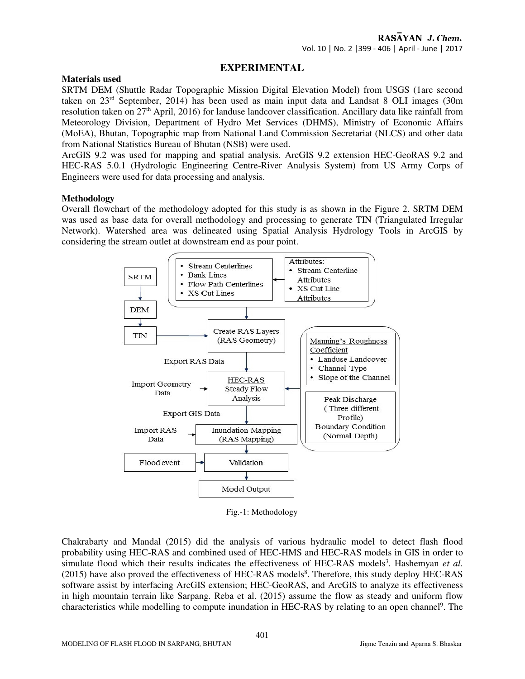## **EXPERIMENTAL**

#### **Materials used**

SRTM DEM (Shuttle Radar Topographic Mission Digital Elevation Model) from USGS (1arc second taken on 23rd September, 2014) has been used as main input data and Landsat 8 OLI images (30m resolution taken on 27th April, 2016) for landuse landcover classification. Ancillary data like rainfall from Meteorology Division, Department of Hydro Met Services (DHMS), Ministry of Economic Affairs (MoEA), Bhutan, Topographic map from National Land Commission Secretariat (NLCS) and other data from National Statistics Bureau of Bhutan (NSB) were used.

ArcGIS 9.2 was used for mapping and spatial analysis. ArcGIS 9.2 extension HEC-GeoRAS 9.2 and HEC-RAS 5.0.1 (Hydrologic Engineering Centre-River Analysis System) from US Army Corps of Engineers were used for data processing and analysis.

## **Methodology**

Overall flowchart of the methodology adopted for this study is as shown in the Figure 2. SRTM DEM was used as base data for overall methodology and processing to generate TIN (Triangulated Irregular Network). Watershed area was delineated using Spatial Analysis Hydrology Tools in ArcGIS by considering the stream outlet at downstream end as pour point.



Fig.-1: Methodology

Chakrabarty and Mandal (2015) did the analysis of various hydraulic model to detect flash flood probability using HEC-RAS and combined used of HEC-HMS and HEC-RAS models in GIS in order to simulate flood which their results indicates the effectiveness of HEC-RAS models<sup>3</sup>. Hashemyan et al. (2015) have also proved the effectiveness of HEC-RAS models<sup>8</sup>. Therefore, this study deploy HEC-RAS software assist by interfacing ArcGIS extension; HEC-GeoRAS, and ArcGIS to analyze its effectiveness in high mountain terrain like Sarpang. Reba et al. (2015) assume the flow as steady and uniform flow characteristics while modelling to compute inundation in HEC-RAS by relating to an open channel<sup>9</sup>. The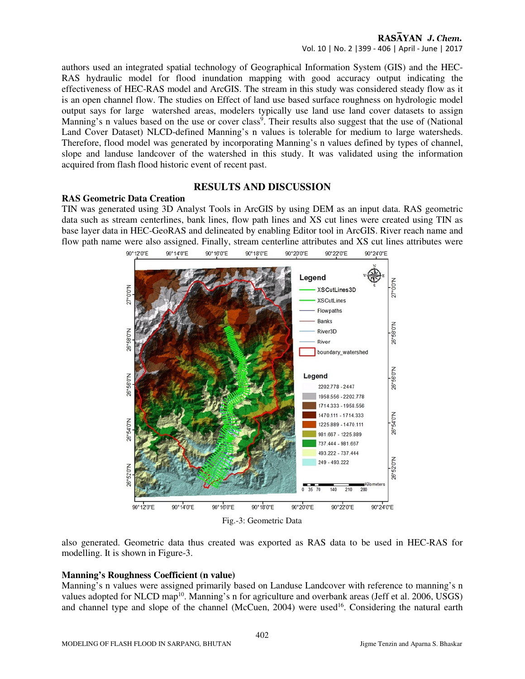authors used an integrated spatial technology of Geographical Information System (GIS) and the HEC-RAS hydraulic model for flood inundation mapping with good accuracy output indicating the effectiveness of HEC-RAS model and ArcGIS. The stream in this study was considered steady flow as it is an open channel flow. The studies on Effect of land use based surface roughness on hydrologic model output says for large watershed areas, modelers typically use land use land cover datasets to assign Manning's n values based on the use or cover class<sup>9</sup>. Their results also suggest that the use of (National Land Cover Dataset) NLCD-defined Manning's n values is tolerable for medium to large watersheds. Therefore, flood model was generated by incorporating Manning's n values defined by types of channel, slope and landuse landcover of the watershed in this study. It was validated using the information acquired from flash flood historic event of recent past.

#### **RESULTS AND DISCUSSION**

## **RAS Geometric Data Creation**

TIN was generated using 3D Analyst Tools in ArcGIS by using DEM as an input data. RAS geometric data such as stream centerlines, bank lines, flow path lines and XS cut lines were created using TIN as base layer data in HEC-GeoRAS and delineated by enabling Editor tool in ArcGIS. River reach name and flow path name were also assigned. Finally, stream centerline attributes and XS cut lines attributes were<br> $\frac{\omega_{120}\pi}{\omega_{120}\pi}$   $\frac{\omega_{140}\pi}{\omega_{140}\pi}$   $\frac{\omega_{180}\pi}{\omega_{180}\pi}$   $\frac{\omega_{180}\pi}{\omega_{180}\pi}$   $\frac{\omega_{180}\pi}{\omega_{180}\pi}$ 



also generated. Geometric data thus created was exported as RAS data to be used in HEC-RAS for modelling. It is shown in Figure-3.

## **Manning's Roughness Coefficient (n value)**

Manning's n values were assigned primarily based on Landuse Landcover with reference to manning's n values adopted for NLCD map<sup>10</sup>. Manning's n for agriculture and overbank areas (Jeff et al. 2006, USGS) and channel type and slope of the channel (McCuen, 2004) were used<sup>16</sup>. Considering the natural earth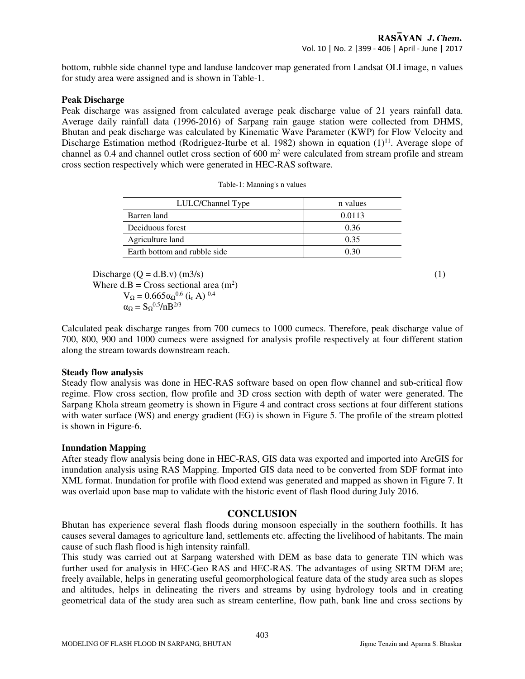bottom, rubble side channel type and landuse landcover map generated from Landsat OLI image, n values for study area were assigned and is shown in Table-1.

#### **Peak Discharge**

Peak discharge was assigned from calculated average peak discharge value of 21 years rainfall data. Average daily rainfall data (1996-2016) of Sarpang rain gauge station were collected from DHMS, Bhutan and peak discharge was calculated by Kinematic Wave Parameter (KWP) for Flow Velocity and Discharge Estimation method (Rodriguez-Iturbe et al. 1982) shown in equation  $(1)^{11}$ . Average slope of channel as  $0.4$  and channel outlet cross section of  $600 \text{ m}^2$  were calculated from stream profile and stream cross section respectively which were generated in HEC-RAS software.

| LULC/Channel Type            | n values |
|------------------------------|----------|
| Barren land                  | 0.0113   |
| Deciduous forest             | 0.36     |
| Agriculture land             | 0.35     |
| Earth bottom and rubble side |          |

Discharge  $(Q = d.B.v)$  (m3/s) (1) Where  $d.B = Cross sectional area (m<sup>2</sup>)$  $V_{\Omega} = 0.665 \alpha \Omega^{0.6}$  (i<sub>r</sub> A)  $^{0.4}$  $\alpha_{\Omega} = S_{\Omega}^{0.5} / nB^{2/3}$ 

Calculated peak discharge ranges from 700 cumecs to 1000 cumecs. Therefore, peak discharge value of 700, 800, 900 and 1000 cumecs were assigned for analysis profile respectively at four different station along the stream towards downstream reach.

#### **Steady flow analysis**

Steady flow analysis was done in HEC-RAS software based on open flow channel and sub-critical flow regime. Flow cross section, flow profile and 3D cross section with depth of water were generated. The Sarpang Khola stream geometry is shown in Figure 4 and contract cross sections at four different stations with water surface (WS) and energy gradient (EG) is shown in Figure 5. The profile of the stream plotted is shown in Figure-6.

## **Inundation Mapping**

After steady flow analysis being done in HEC-RAS, GIS data was exported and imported into ArcGIS for inundation analysis using RAS Mapping. Imported GIS data need to be converted from SDF format into XML format. Inundation for profile with flood extend was generated and mapped as shown in Figure 7. It was overlaid upon base map to validate with the historic event of flash flood during July 2016.

## **CONCLUSION**

Bhutan has experience several flash floods during monsoon especially in the southern foothills. It has causes several damages to agriculture land, settlements etc. affecting the livelihood of habitants. The main cause of such flash flood is high intensity rainfall.

This study was carried out at Sarpang watershed with DEM as base data to generate TIN which was further used for analysis in HEC-Geo RAS and HEC-RAS. The advantages of using SRTM DEM are; freely available, helps in generating useful geomorphological feature data of the study area such as slopes and altitudes, helps in delineating the rivers and streams by using hydrology tools and in creating geometrical data of the study area such as stream centerline, flow path, bank line and cross sections by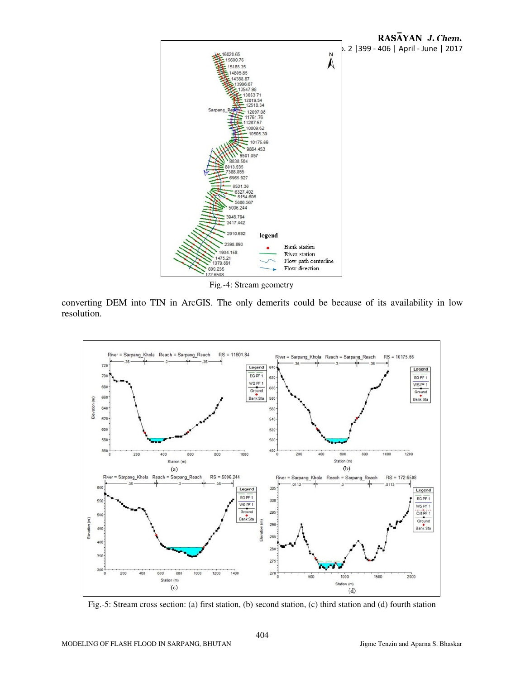

Fig.-4: Stream geometry

converting DEM into TIN in ArcGIS. The only demerits could be because of its availability in low resolution.



Fig.-5: Stream cross section: (a) first station, (b) second station, (c) third station and (d) fourth station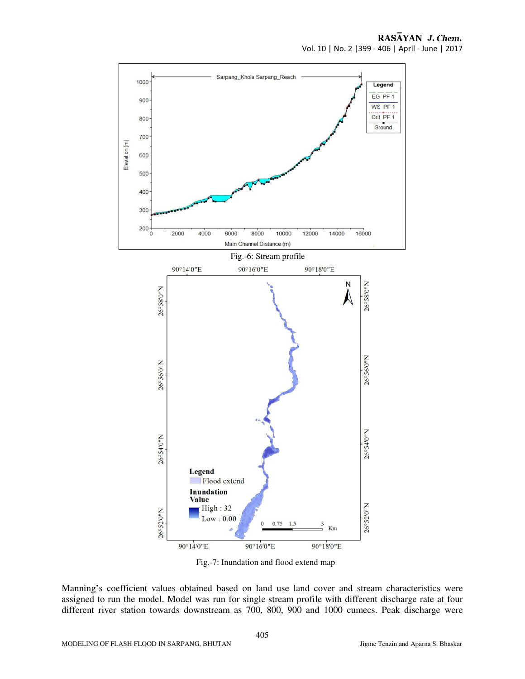

Fig.-7: Inundation and flood extend map

Manning's coefficient values obtained based on land use land cover and stream characteristics were assigned to run the model. Model was run for single stream profile with different discharge rate at four different river station towards downstream as 700, 800, 900 and 1000 cumecs. Peak discharge were